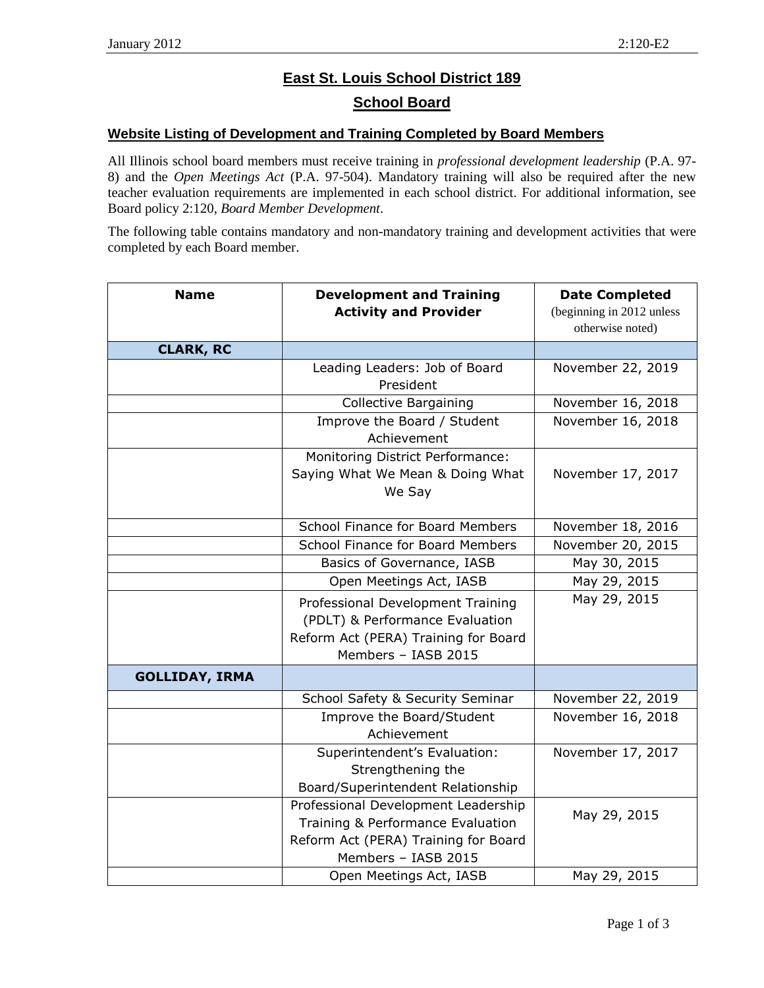## **East St. Louis School District 189 School Board**

## **Website Listing of Development and Training Completed by Board Members**

All Illinois school board members must receive training in *professional development leadership* (P.A. 97- 8) and the *Open Meetings Act* (P.A. 97-504). Mandatory training will also be required after the new teacher evaluation requirements are implemented in each school district. For additional information, see Board policy 2:120, *Board Member Development*.

The following table contains mandatory and non-mandatory training and development activities that were completed by each Board member.

| <b>Name</b>           | <b>Development and Training</b><br><b>Activity and Provider</b>                                                                         | <b>Date Completed</b><br>(beginning in 2012 unless<br>otherwise noted) |
|-----------------------|-----------------------------------------------------------------------------------------------------------------------------------------|------------------------------------------------------------------------|
| <b>CLARK, RC</b>      |                                                                                                                                         |                                                                        |
|                       | Leading Leaders: Job of Board<br>President                                                                                              | November 22, 2019                                                      |
|                       | <b>Collective Bargaining</b>                                                                                                            | November 16, 2018                                                      |
|                       | Improve the Board / Student<br>Achievement                                                                                              | November 16, 2018                                                      |
|                       | Monitoring District Performance:<br>Saying What We Mean & Doing What<br>We Say                                                          | November 17, 2017                                                      |
|                       | School Finance for Board Members                                                                                                        | November 18, 2016                                                      |
|                       | School Finance for Board Members                                                                                                        | November 20, 2015                                                      |
|                       | Basics of Governance, IASB                                                                                                              | May 30, 2015                                                           |
|                       | Open Meetings Act, IASB                                                                                                                 | May 29, 2015                                                           |
|                       | Professional Development Training<br>(PDLT) & Performance Evaluation<br>Reform Act (PERA) Training for Board<br>Members - IASB 2015     | May 29, 2015                                                           |
| <b>GOLLIDAY, IRMA</b> |                                                                                                                                         |                                                                        |
|                       | School Safety & Security Seminar                                                                                                        | November 22, 2019                                                      |
|                       | Improve the Board/Student<br>Achievement                                                                                                | November 16, 2018                                                      |
|                       | Superintendent's Evaluation:<br>Strengthening the<br>Board/Superintendent Relationship                                                  | November 17, 2017                                                      |
|                       | Professional Development Leadership<br>Training & Performance Evaluation<br>Reform Act (PERA) Training for Board<br>Members - IASB 2015 | May 29, 2015                                                           |
|                       | Open Meetings Act, IASB                                                                                                                 | May 29, 2015                                                           |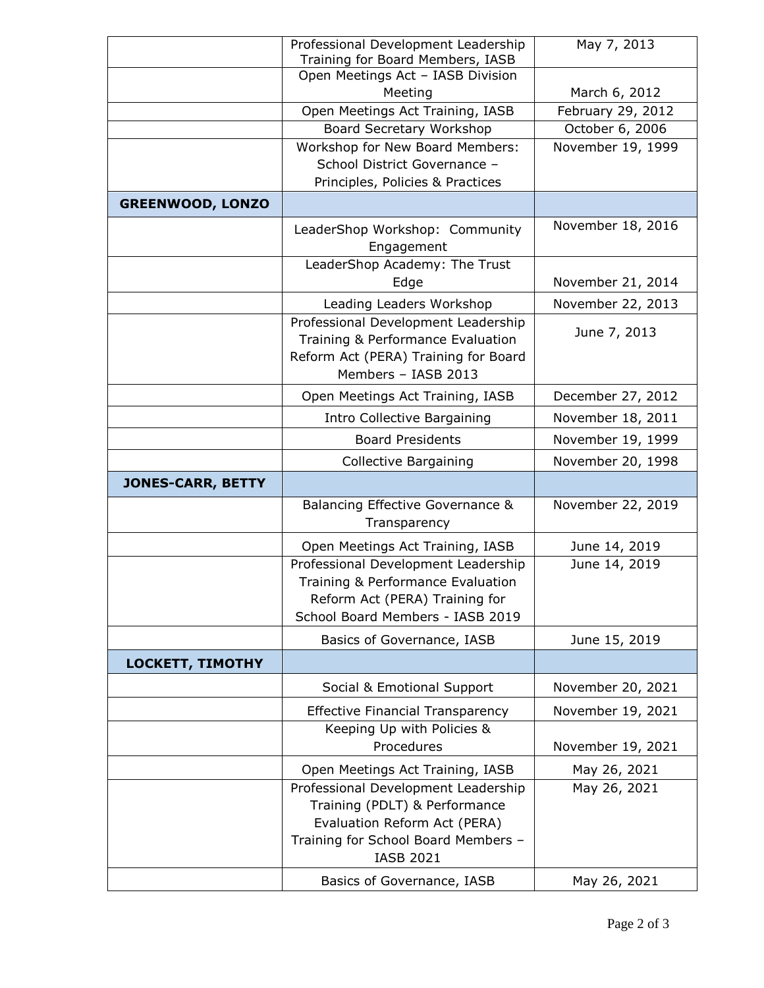|                          | Professional Development Leadership                                                                                                                             | May 7, 2013       |
|--------------------------|-----------------------------------------------------------------------------------------------------------------------------------------------------------------|-------------------|
|                          | Training for Board Members, IASB<br>Open Meetings Act - IASB Division                                                                                           |                   |
|                          | Meeting                                                                                                                                                         | March 6, 2012     |
|                          | Open Meetings Act Training, IASB                                                                                                                                | February 29, 2012 |
|                          | Board Secretary Workshop                                                                                                                                        | October 6, 2006   |
|                          | Workshop for New Board Members:                                                                                                                                 | November 19, 1999 |
|                          | School District Governance -                                                                                                                                    |                   |
|                          | Principles, Policies & Practices                                                                                                                                |                   |
| <b>GREENWOOD, LONZO</b>  |                                                                                                                                                                 |                   |
|                          | LeaderShop Workshop: Community<br>Engagement                                                                                                                    | November 18, 2016 |
|                          | LeaderShop Academy: The Trust<br>Edge                                                                                                                           | November 21, 2014 |
|                          | Leading Leaders Workshop                                                                                                                                        | November 22, 2013 |
|                          | Professional Development Leadership<br>Training & Performance Evaluation<br>Reform Act (PERA) Training for Board<br>Members - IASB 2013                         | June 7, 2013      |
|                          | Open Meetings Act Training, IASB                                                                                                                                | December 27, 2012 |
|                          | Intro Collective Bargaining                                                                                                                                     | November 18, 2011 |
|                          | <b>Board Presidents</b>                                                                                                                                         | November 19, 1999 |
|                          | <b>Collective Bargaining</b>                                                                                                                                    | November 20, 1998 |
| <b>JONES-CARR, BETTY</b> |                                                                                                                                                                 |                   |
|                          | Balancing Effective Governance &<br>Transparency                                                                                                                | November 22, 2019 |
|                          | Open Meetings Act Training, IASB                                                                                                                                | June 14, 2019     |
|                          | Professional Development Leadership<br>Training & Performance Evaluation<br>Reform Act (PERA) Training for<br>School Board Members - IASB 2019                  | June 14, 2019     |
|                          | Basics of Governance, IASB                                                                                                                                      | June 15, 2019     |
| LOCKETT, TIMOTHY         |                                                                                                                                                                 |                   |
|                          | Social & Emotional Support                                                                                                                                      | November 20, 2021 |
|                          | <b>Effective Financial Transparency</b>                                                                                                                         | November 19, 2021 |
|                          | Keeping Up with Policies &<br>Procedures                                                                                                                        | November 19, 2021 |
|                          | Open Meetings Act Training, IASB                                                                                                                                | May 26, 2021      |
|                          | Professional Development Leadership<br>Training (PDLT) & Performance<br>Evaluation Reform Act (PERA)<br>Training for School Board Members -<br><b>IASB 2021</b> | May 26, 2021      |
|                          | Basics of Governance, IASB                                                                                                                                      | May 26, 2021      |